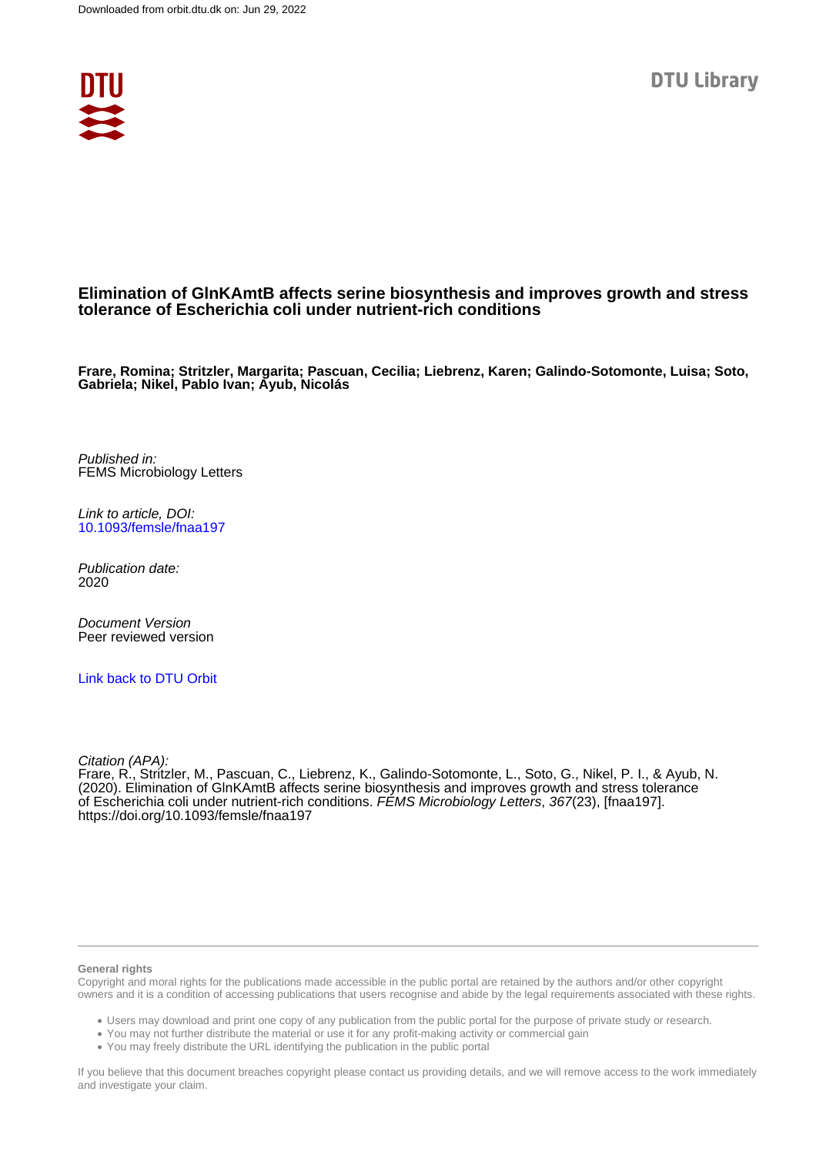

## **Elimination of GlnKAmtB affects serine biosynthesis and improves growth and stress tolerance of Escherichia coli under nutrient-rich conditions**

**Frare, Romina; Stritzler, Margarita; Pascuan, Cecilia; Liebrenz, Karen; Galindo-Sotomonte, Luisa; Soto, Gabriela; Nikel, Pablo Ivan; Ayub, Nicolás**

Published in: FEMS Microbiology Letters

Link to article, DOI: [10.1093/femsle/fnaa197](https://doi.org/10.1093/femsle/fnaa197)

Publication date: 2020

Document Version Peer reviewed version

[Link back to DTU Orbit](https://orbit.dtu.dk/en/publications/f9725dd8-d327-484b-a68f-c79ac33f0cfc)

Citation (APA):

Frare, R., Stritzler, M., Pascuan, C., Liebrenz, K., Galindo-Sotomonte, L., Soto, G., Nikel, P. I., & Ayub, N. (2020). Elimination of GlnKAmtB affects serine biosynthesis and improves growth and stress tolerance of Escherichia coli under nutrient-rich conditions. FÉMS Microbiology Letters, 367(23), [fnaa197]. <https://doi.org/10.1093/femsle/fnaa197>

#### **General rights**

Copyright and moral rights for the publications made accessible in the public portal are retained by the authors and/or other copyright owners and it is a condition of accessing publications that users recognise and abide by the legal requirements associated with these rights.

Users may download and print one copy of any publication from the public portal for the purpose of private study or research.

- You may not further distribute the material or use it for any profit-making activity or commercial gain
- You may freely distribute the URL identifying the publication in the public portal

If you believe that this document breaches copyright please contact us providing details, and we will remove access to the work immediately and investigate your claim.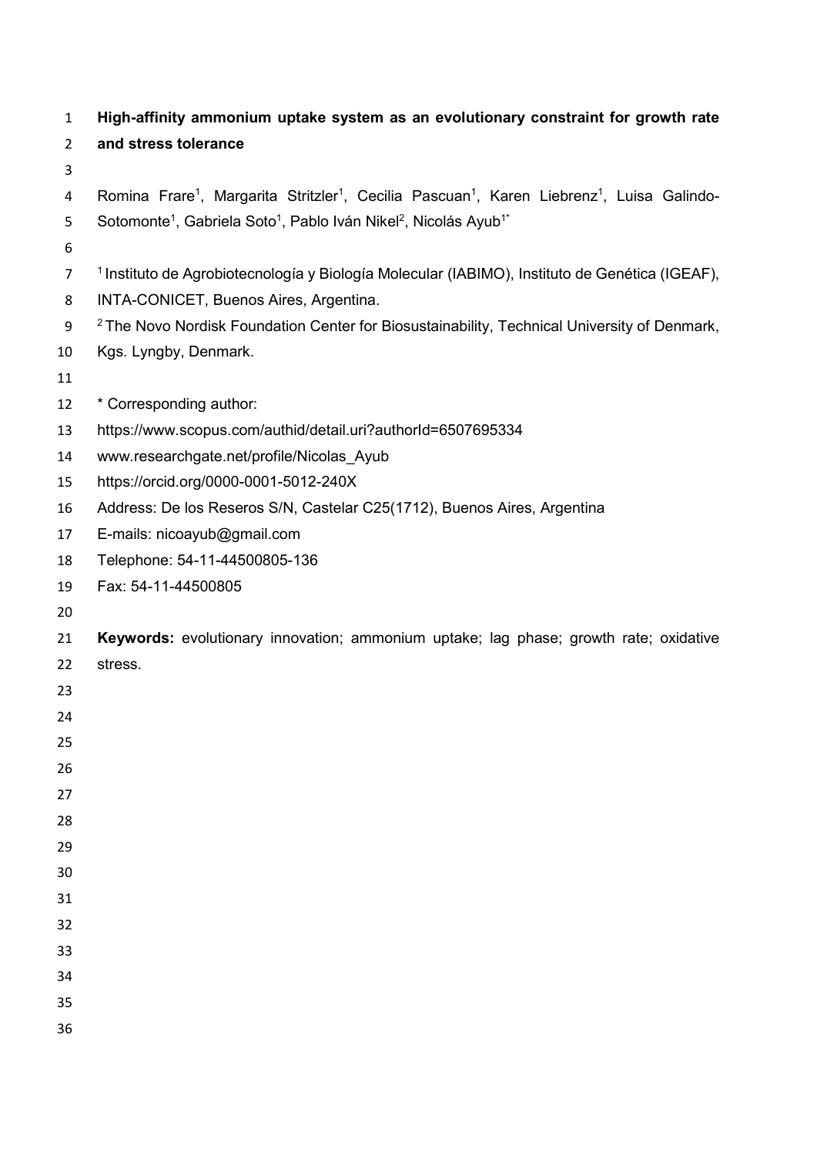| $\mathbf{1}$   | High-affinity ammonium uptake system as an evolutionary constraint for growth rate                                                         |
|----------------|--------------------------------------------------------------------------------------------------------------------------------------------|
| $\overline{2}$ | and stress tolerance                                                                                                                       |
| 3              |                                                                                                                                            |
| 4              | Romina Frare <sup>1</sup> , Margarita Stritzler <sup>1</sup> , Cecilia Pascuan <sup>1</sup> , Karen Liebrenz <sup>1</sup> , Luisa Galindo- |
| 5              | Sotomonte <sup>1</sup> , Gabriela Soto <sup>1</sup> , Pablo Iván Nikel <sup>2</sup> , Nicolás Ayub <sup>1*</sup>                           |
| 6              |                                                                                                                                            |
| $\overline{7}$ | <sup>1</sup> Instituto de Agrobiotecnología y Biología Molecular (IABIMO), Instituto de Genética (IGEAF),                                  |
| 8              | INTA-CONICET, Buenos Aires, Argentina.                                                                                                     |
| 9              | <sup>2</sup> The Novo Nordisk Foundation Center for Biosustainability, Technical University of Denmark,                                    |
| 10             | Kgs. Lyngby, Denmark.                                                                                                                      |
| 11             |                                                                                                                                            |
| 12             | * Corresponding author:                                                                                                                    |
| 13             | https://www.scopus.com/authid/detail.uri?authorId=6507695334                                                                               |
| 14             | www.researchgate.net/profile/Nicolas Ayub                                                                                                  |
| 15             | https://orcid.org/0000-0001-5012-240X                                                                                                      |
| 16             | Address: De los Reseros S/N, Castelar C25(1712), Buenos Aires, Argentina                                                                   |
| 17             | E-mails: nicoayub@gmail.com                                                                                                                |
| 18             | Telephone: 54-11-44500805-136                                                                                                              |
| 19             | Fax: 54-11-44500805                                                                                                                        |
| 20             |                                                                                                                                            |
| 21             | Keywords: evolutionary innovation; ammonium uptake; lag phase; growth rate; oxidative                                                      |
| 22             | stress.                                                                                                                                    |
| 23             |                                                                                                                                            |
| 24             |                                                                                                                                            |
| 25             |                                                                                                                                            |
| 26             |                                                                                                                                            |
| 27             |                                                                                                                                            |
| 28             |                                                                                                                                            |
| 29             |                                                                                                                                            |
| 30             |                                                                                                                                            |
| 31             |                                                                                                                                            |
| 32             |                                                                                                                                            |
| 33             |                                                                                                                                            |
| 34             |                                                                                                                                            |
| 35             |                                                                                                                                            |
| 36             |                                                                                                                                            |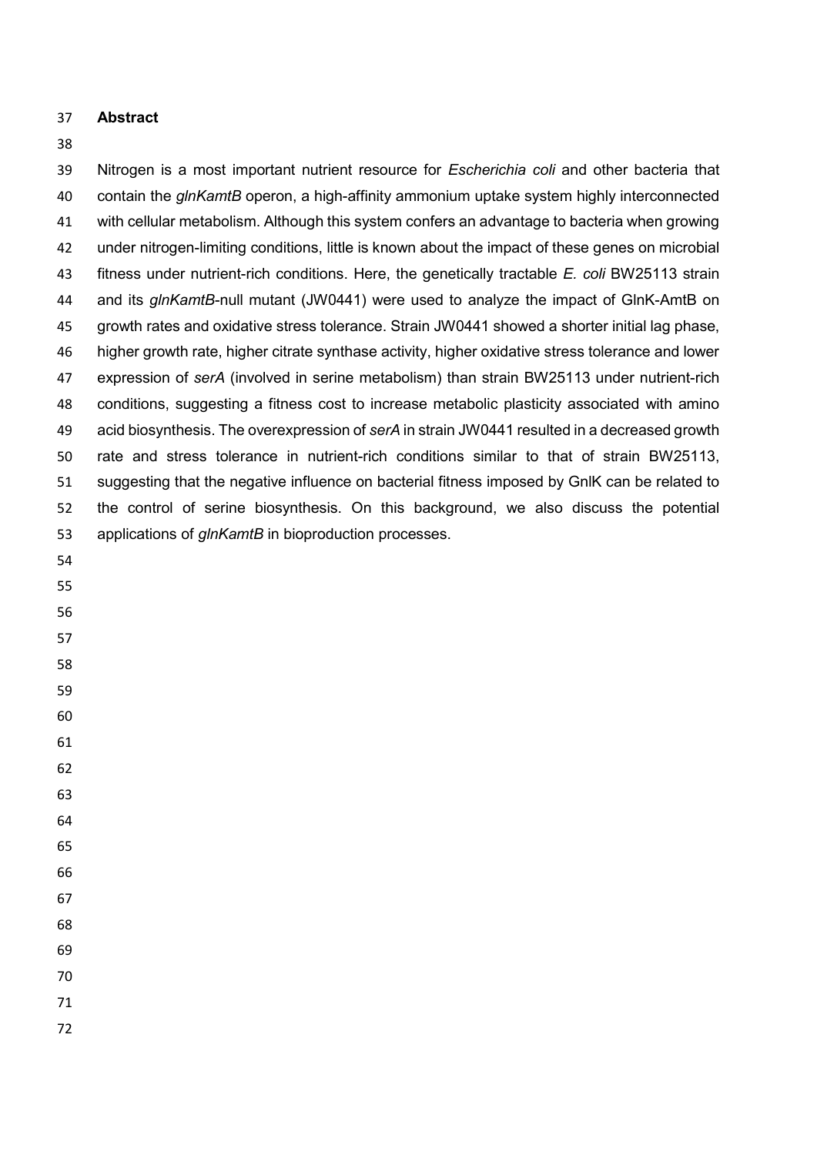## **Abstract**

## 

 Nitrogen is a most important nutrient resource for *Escherichia coli* and other bacteria that contain the *glnKamtB* operon, a high-affinity ammonium uptake system highly interconnected with cellular metabolism. Although this system confers an advantage to bacteria when growing under nitrogen-limiting conditions, little is known about the impact of these genes on microbial fitness under nutrient-rich conditions. Here, the genetically tractable *E. coli* BW25113 strain and its *glnKamtB*-null mutant (JW0441) were used to analyze the impact of GlnK-AmtB on growth rates and oxidative stress tolerance. Strain JW0441 showed a shorter initial lag phase, higher growth rate, higher citrate synthase activity, higher oxidative stress tolerance and lower expression of *serA* (involved in serine metabolism) than strain BW25113 under nutrient-rich conditions, suggesting a fitness cost to increase metabolic plasticity associated with amino acid biosynthesis. The overexpression of *serA* in strain JW0441 resulted in a decreased growth rate and stress tolerance in nutrient-rich conditions similar to that of strain BW25113, suggesting that the negative influence on bacterial fitness imposed by GnlK can be related to the control of serine biosynthesis. On this background, we also discuss the potential applications of *glnKamtB* in bioproduction processes.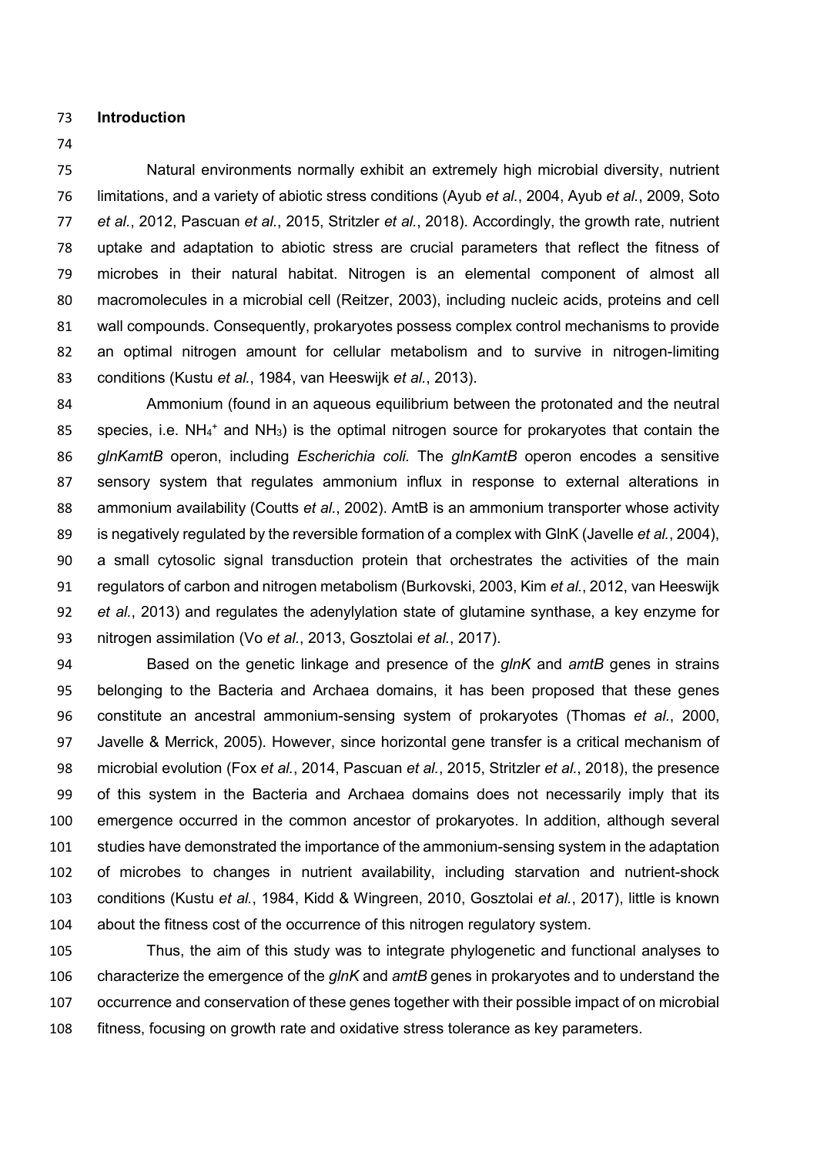- **Introduction**
- 

 Natural environments normally exhibit an extremely high microbial diversity, nutrient limitations, and a variety of abiotic stress conditions (Ayub *et al.*, 2004, Ayub *et al.*, 2009, Soto *et al.*, 2012, Pascuan *et al.*, 2015, Stritzler *et al.*, 2018). Accordingly, the growth rate, nutrient uptake and adaptation to abiotic stress are crucial parameters that reflect the fitness of microbes in their natural habitat. Nitrogen is an elemental component of almost all macromolecules in a microbial cell (Reitzer, 2003), including nucleic acids, proteins and cell wall compounds. Consequently, prokaryotes possess complex control mechanisms to provide an optimal nitrogen amount for cellular metabolism and to survive in nitrogen-limiting conditions (Kustu *et al.*, 1984, van Heeswijk *et al.*, 2013).

 Ammonium (found in an aqueous equilibrium between the protonated and the neutral 85 species, i.e. NH<sub>4</sub><sup>+</sup> and NH<sub>3</sub>) is the optimal nitrogen source for prokaryotes that contain the *glnKamtB* operon, including *Escherichia coli.* The *glnKamtB* operon encodes a sensitive sensory system that regulates ammonium influx in response to external alterations in ammonium availability (Coutts *et al.*, 2002). AmtB is an ammonium transporter whose activity is negatively regulated by the reversible formation of a complex with GlnK (Javelle *et al.*, 2004), a small cytosolic signal transduction protein that orchestrates the activities of the main regulators of carbon and nitrogen metabolism (Burkovski, 2003, Kim *et al.*, 2012, van Heeswijk *et al.*, 2013) and regulates the adenylylation state of glutamine synthase, a key enzyme for nitrogen assimilation (Vo *et al.*, 2013, Gosztolai *et al.*, 2017).

 Based on the genetic linkage and presence of the *glnK* and *amtB* genes in strains belonging to the Bacteria and Archaea domains, it has been proposed that these genes constitute an ancestral ammonium-sensing system of prokaryotes (Thomas *et al.*, 2000, Javelle & Merrick, 2005). However, since horizontal gene transfer is a critical mechanism of microbial evolution (Fox *et al.*, 2014, Pascuan *et al.*, 2015, Stritzler *et al.*, 2018), the presence of this system in the Bacteria and Archaea domains does not necessarily imply that its emergence occurred in the common ancestor of prokaryotes. In addition, although several studies have demonstrated the importance of the ammonium-sensing system in the adaptation of microbes to changes in nutrient availability, including starvation and nutrient-shock conditions (Kustu *et al.*, 1984, Kidd & Wingreen, 2010, Gosztolai *et al.*, 2017), little is known about the fitness cost of the occurrence of this nitrogen regulatory system.

 Thus, the aim of this study was to integrate phylogenetic and functional analyses to characterize the emergence of the *glnK* and *amtB* genes in prokaryotes and to understand the occurrence and conservation of these genes together with their possible impact of on microbial fitness, focusing on growth rate and oxidative stress tolerance as key parameters.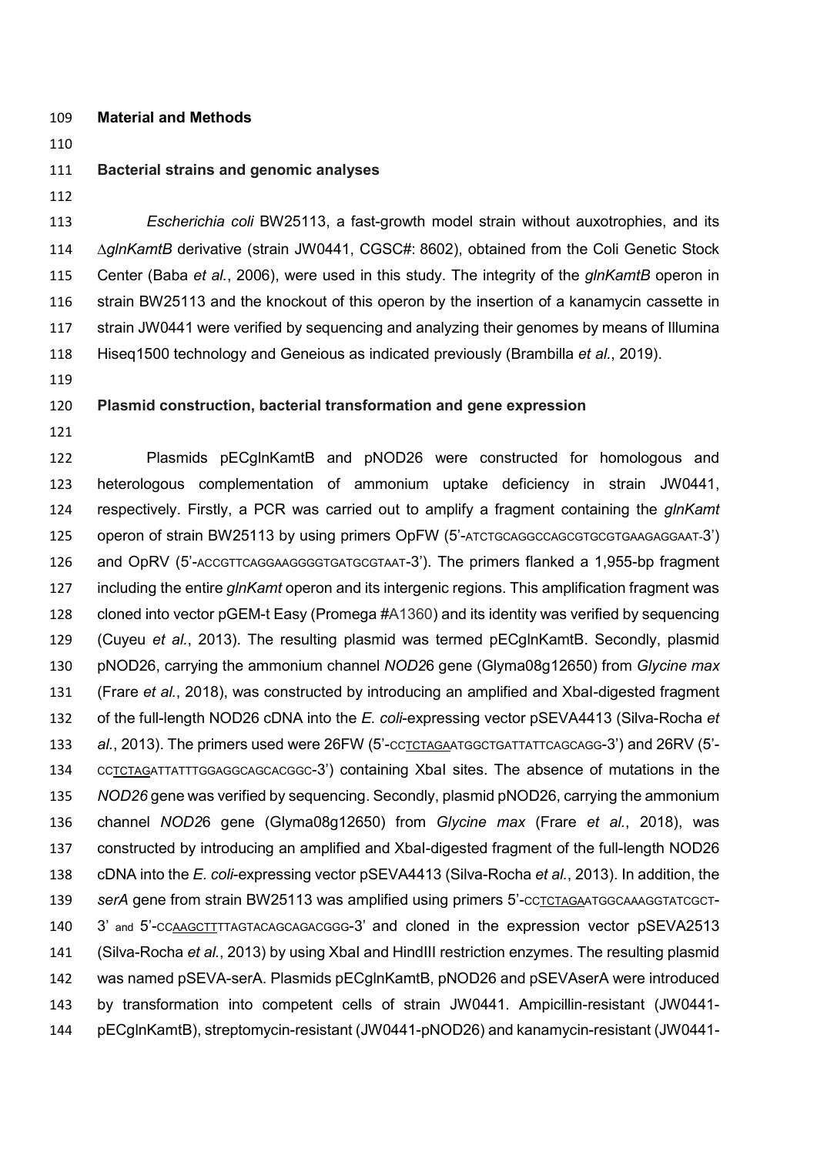- **Material and Methods**
- 

#### **Bacterial strains and genomic analyses**

 *Escherichia coli* BW25113, a fast-growth model strain without auxotrophies, and its ∆*glnKamtB* derivative (strain JW0441, CGSC#: 8602), obtained from the Coli Genetic Stock Center (Baba *et al.*, 2006), were used in this study. The integrity of the *glnKamtB* operon in strain BW25113 and the knockout of this operon by the insertion of a kanamycin cassette in strain JW0441 were verified by sequencing and analyzing their genomes by means of Illumina Hiseq1500 technology and Geneious as indicated previously (Brambilla *et al.*, 2019).

## **Plasmid construction, bacterial transformation and gene expression**

 Plasmids pECglnKamtB and pNOD26 were constructed for homologous and heterologous complementation of ammonium uptake deficiency in strain JW0441, respectively. Firstly, a PCR was carried out to amplify a fragment containing the *glnKamt* operon of strain BW25113 by using primers OpFW (5'-ATCTGCAGGCCAGCGTGCGTGAAGAGGAAT-3') and OpRV (5'-ACCGTTCAGGAAGGGGTGATGCGTAAT-3'). The primers flanked a 1,955-bp fragment including the entire *glnKamt* operon and its intergenic regions. This amplification fragment was cloned into vector pGEM-t Easy (Promega #A1360) and its identity was verified by sequencing (Cuyeu *et al.*, 2013). The resulting plasmid was termed pECglnKamtB. Secondly, plasmid pNOD26, carrying the ammonium channel *NOD2*6 gene (Glyma08g12650) from *Glycine max* (Frare *et al.*, 2018), was constructed by introducing an amplified and XbaI-digested fragment of the full-length NOD26 cDNA into the *E. coli*-expressing vector pSEVA4413 (Silva-Rocha *et al.*, 2013). The primers used were 26FW (5'-CCTCTAGAATGGCTGATTATTCAGCAGG-3') and 26RV (5'- CCTCTAGATTATTTGGAGGCAGCACGGC-3') containing XbaI sites. The absence of mutations in the *NOD26* gene was verified by sequencing. Secondly, plasmid pNOD26, carrying the ammonium channel *NOD2*6 gene (Glyma08g12650) from *Glycine max* (Frare *et al.*, 2018), was constructed by introducing an amplified and XbaI-digested fragment of the full-length NOD26 cDNA into the *E. coli*-expressing vector pSEVA4413 (Silva-Rocha *et al.*, 2013). In addition, the *serA* gene from strain BW25113 was amplified using primers 5'-CCTCTAGAATGGCAAAGGTATCGCT-140 3' and 5'-CCAAGCTTTTAGTACAGCAGACGGG-3' and cloned in the expression vector pSEVA2513 (Silva-Rocha *et al.*, 2013) by using XbaI and HindIII restriction enzymes. The resulting plasmid was named pSEVA-serA. Plasmids pECglnKamtB, pNOD26 and pSEVAserA were introduced by transformation into competent cells of strain JW0441. Ampicillin-resistant (JW0441- pECglnKamtB), streptomycin-resistant (JW0441-pNOD26) and kanamycin-resistant (JW0441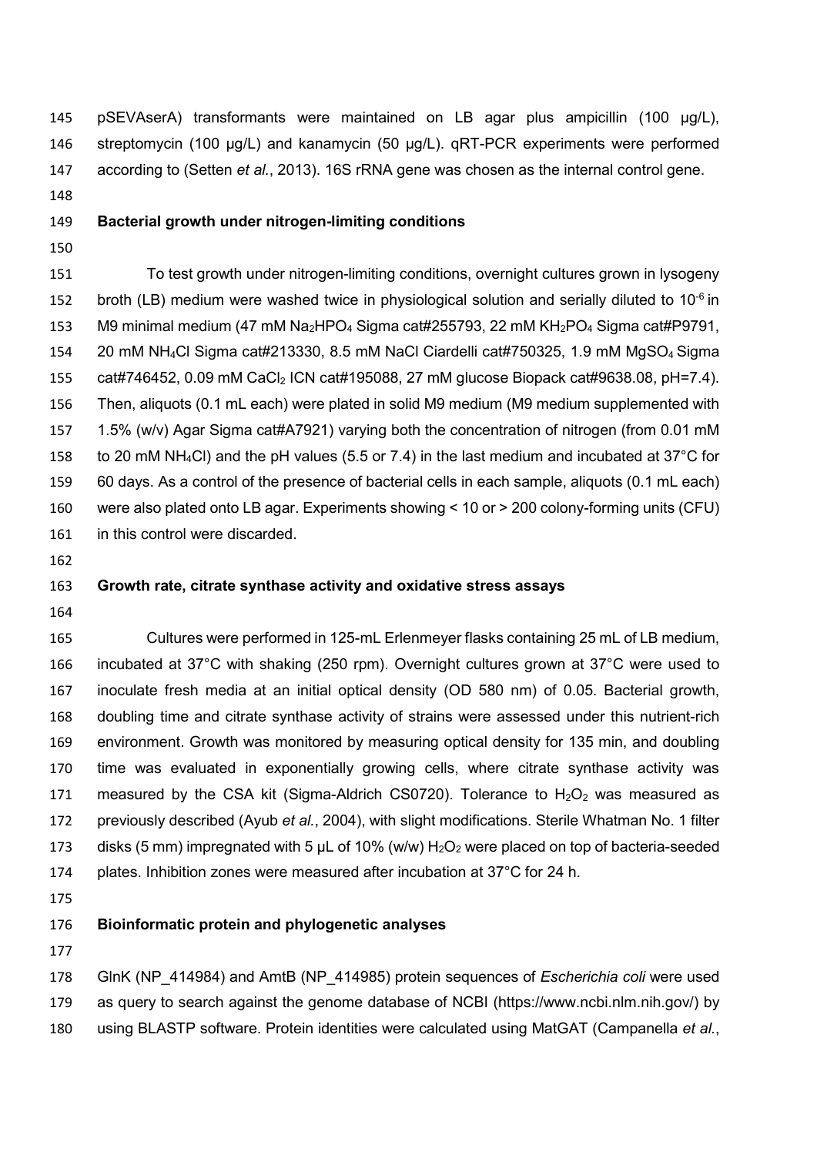pSEVAserA) transformants were maintained on LB agar plus ampicillin (100 µg/L), streptomycin (100 µg/L) and kanamycin (50 µg/L). qRT-PCR experiments were performed according to (Setten *et al.*, 2013). 16S rRNA gene was chosen as the internal control gene.

### **Bacterial growth under nitrogen-limiting conditions**

 To test growth under nitrogen-limiting conditions, overnight cultures grown in lysogeny 152 broth (LB) medium were washed twice in physiological solution and serially diluted to  $10^{-6}$  in 153 M9 minimal medium (47 mM Na<sub>2</sub>HPO<sub>4</sub> Sigma cat#255793, 22 mM KH<sub>2</sub>PO<sub>4</sub> Sigma cat#P9791, 20 mM NH4Cl Sigma cat#213330, 8.5 mM NaCl Ciardelli cat#750325, 1.9 mM MgSO4 Sigma cat#746452, 0.09 mM CaCl2 ICN cat#195088, 27 mM glucose Biopack cat#9638.08, pH=7.4). Then, aliquots (0.1 mL each) were plated in solid M9 medium (M9 medium supplemented with 1.5% (w/v) Agar Sigma cat#A7921) varying both the concentration of nitrogen (from 0.01 mM to 20 mM NH4Cl) and the pH values (5.5 or 7.4) in the last medium and incubated at 37°C for 60 days. As a control of the presence of bacterial cells in each sample, aliquots (0.1 mL each) were also plated onto LB agar. Experiments showing < 10 or > 200 colony-forming units (CFU) in this control were discarded.

#### **Growth rate, citrate synthase activity and oxidative stress assays**

 Cultures were performed in 125-mL Erlenmeyer flasks containing 25 mL of LB medium, incubated at 37°C with shaking (250 rpm). Overnight cultures grown at 37°C were used to inoculate fresh media at an initial optical density (OD 580 nm) of 0.05. Bacterial growth, doubling time and citrate synthase activity of strains were assessed under this nutrient-rich environment. Growth was monitored by measuring optical density for 135 min, and doubling time was evaluated in exponentially growing cells, where citrate synthase activity was 171 measured by the CSA kit (Sigma-Aldrich CS0720). Tolerance to  $H_2O_2$  was measured as previously described (Ayub *et al.*, 2004), with slight modifications. Sterile Whatman No. 1 filter 173 disks (5 mm) impregnated with 5  $\mu$ L of 10% (w/w)  $H_2O_2$  were placed on top of bacteria-seeded plates. Inhibition zones were measured after incubation at 37°C for 24 h.

## **Bioinformatic protein and phylogenetic analyses**

 GlnK (NP\_414984) and AmtB (NP\_414985) protein sequences of *Escherichia coli* were used as query to search against the genome database of NCBI (https://www.ncbi.nlm.nih.gov/) by using BLASTP software. Protein identities were calculated using MatGAT (Campanella *et al.*,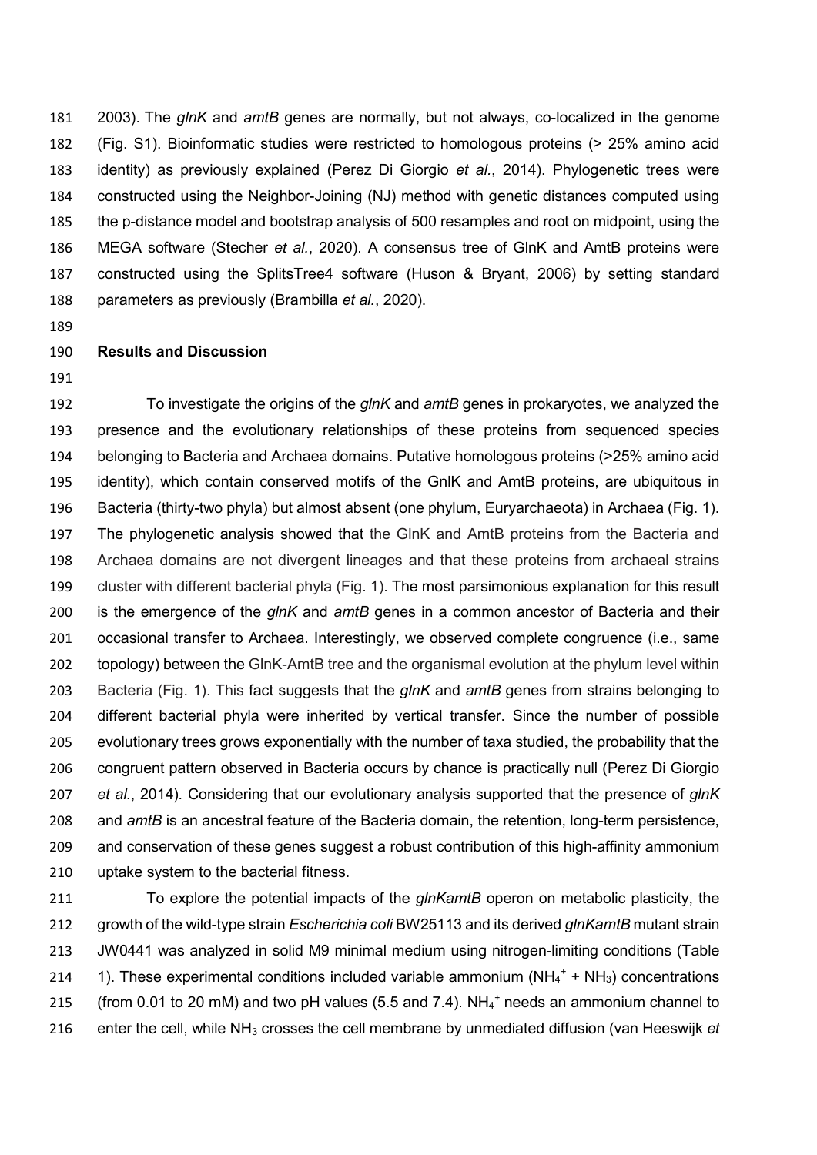2003). The *glnK* and *amtB* genes are normally, but not always, co-localized in the genome (Fig. S1). Bioinformatic studies were restricted to homologous proteins (> 25% amino acid identity) as previously explained (Perez Di Giorgio *et al.*, 2014). Phylogenetic trees were constructed using the Neighbor-Joining (NJ) method with genetic distances computed using the p-distance model and bootstrap analysis of 500 resamples and root on midpoint, using the MEGA software (Stecher *et al.*, 2020). A consensus tree of GlnK and AmtB proteins were constructed using the SplitsTree4 software (Huson & Bryant, 2006) by setting standard parameters as previously (Brambilla *et al.*, 2020).

## **Results and Discussion**

 To investigate the origins of the *glnK* and *amtB* genes in prokaryotes, we analyzed the presence and the evolutionary relationships of these proteins from sequenced species belonging to Bacteria and Archaea domains. Putative homologous proteins (>25% amino acid identity), which contain conserved motifs of the GnlK and AmtB proteins, are ubiquitous in Bacteria (thirty-two phyla) but almost absent (one phylum, Euryarchaeota) in Archaea (Fig. 1). The phylogenetic analysis showed that the GlnK and AmtB proteins from the Bacteria and Archaea domains are not divergent lineages and that these proteins from archaeal strains cluster with different bacterial phyla (Fig. 1). The most parsimonious explanation for this result is the emergence of the *glnK* and *amtB* genes in a common ancestor of Bacteria and their occasional transfer to Archaea. Interestingly, we observed complete congruence (i.e., same topology) between the GlnK-AmtB tree and the organismal evolution at the phylum level within Bacteria (Fig. 1). This fact suggests that the *glnK* and *amtB* genes from strains belonging to different bacterial phyla were inherited by vertical transfer. Since the number of possible evolutionary trees grows exponentially with the number of taxa studied, the probability that the congruent pattern observed in Bacteria occurs by chance is practically null (Perez Di Giorgio *et al.*, 2014)*.* Considering that our evolutionary analysis supported that the presence of *glnK* and *amtB* is an ancestral feature of the Bacteria domain, the retention, long-term persistence, and conservation of these genes suggest a robust contribution of this high-affinity ammonium uptake system to the bacterial fitness.

 To explore the potential impacts of the *glnKamtB* operon on metabolic plasticity, the growth of the wild-type strain *Escherichia coli* BW25113 and its derived *glnKamtB* mutant strain JW0441 was analyzed in solid M9 minimal medium using nitrogen-limiting conditions (Table 214 1). These experimental conditions included variable ammonium (NH<sub>4</sub><sup>+</sup> + NH<sub>3</sub>) concentrations 215 (from 0.01 to 20 mM) and two pH values (5.5 and 7.4). NH<sub>4</sub><sup>+</sup> needs an ammonium channel to enter the cell, while NH3 crosses the cell membrane by unmediated diffusion (van Heeswijk *et*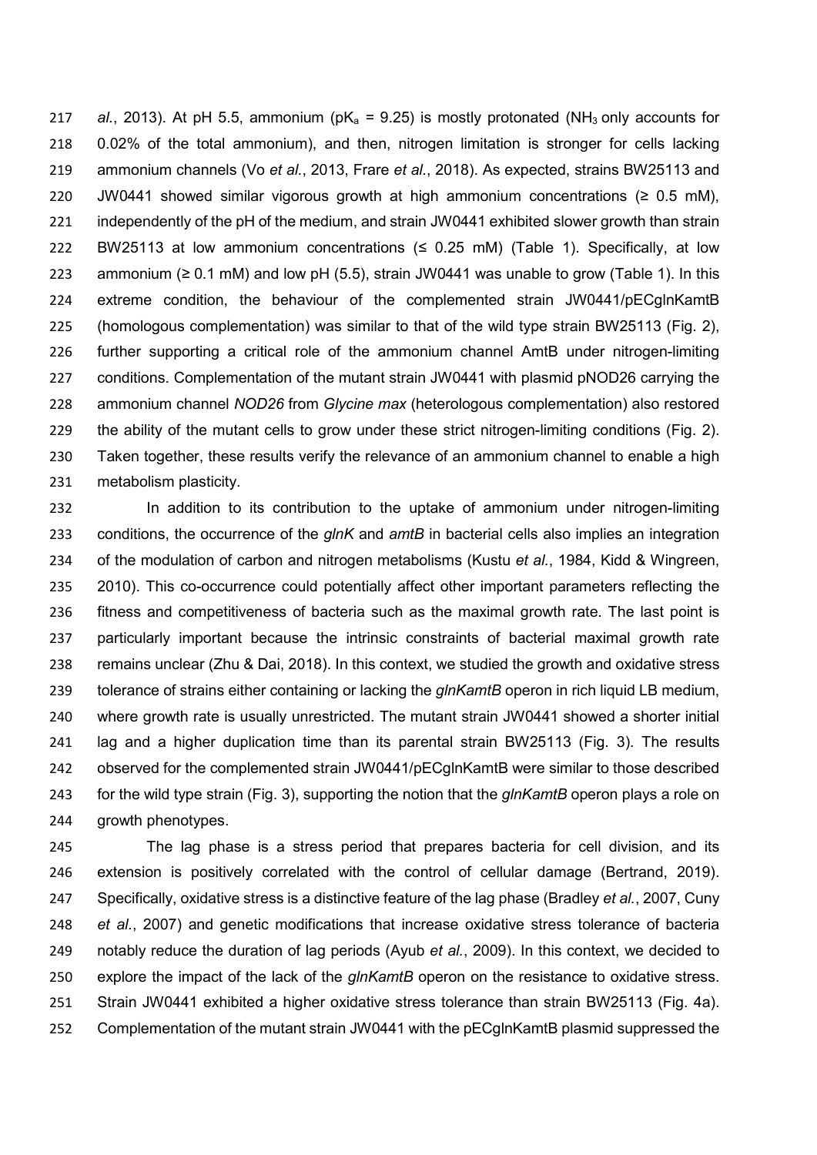*al.*, 2013). At pH 5.5, ammonium (pK<sub>a</sub> = 9.25) is mostly protonated (NH<sub>3</sub> only accounts for 0.02% of the total ammonium), and then, nitrogen limitation is stronger for cells lacking ammonium channels (Vo *et al.*, 2013, Frare *et al.*, 2018). As expected, strains BW25113 and JW0441 showed similar vigorous growth at high ammonium concentrations (*≥* 0.5 mM), 221 independently of the pH of the medium, and strain JW0441 exhibited slower growth than strain BW25113 at low ammonium concentrations (*≤* 0.25 mM) (Table 1). Specifically, at low ammonium (*≥* 0.1 mM) and low pH (5.5), strain JW0441 was unable to grow (Table 1). In this extreme condition, the behaviour of the complemented strain JW0441/pECglnKamtB (homologous complementation) was similar to that of the wild type strain BW25113 (Fig. 2), further supporting a critical role of the ammonium channel AmtB under nitrogen-limiting conditions. Complementation of the mutant strain JW0441 with plasmid pNOD26 carrying the ammonium channel *NOD26* from *Glycine max* (heterologous complementation) also restored the ability of the mutant cells to grow under these strict nitrogen-limiting conditions (Fig. 2). Taken together, these results verify the relevance of an ammonium channel to enable a high metabolism plasticity.

 In addition to its contribution to the uptake of ammonium under nitrogen-limiting conditions, the occurrence of the *glnK* and *amtB* in bacterial cells also implies an integration of the modulation of carbon and nitrogen metabolisms (Kustu *et al.*, 1984, Kidd & Wingreen, 2010). This co-occurrence could potentially affect other important parameters reflecting the fitness and competitiveness of bacteria such as the maximal growth rate. The last point is particularly important because the intrinsic constraints of bacterial maximal growth rate remains unclear (Zhu & Dai, 2018). In this context, we studied the growth and oxidative stress tolerance of strains either containing or lacking the *glnKamtB* operon in rich liquid LB medium, where growth rate is usually unrestricted. The mutant strain JW0441 showed a shorter initial lag and a higher duplication time than its parental strain BW25113 (Fig. 3). The results observed for the complemented strain JW0441/pECglnKamtB were similar to those described for the wild type strain (Fig. 3), supporting the notion that the *glnKamtB* operon plays a role on growth phenotypes.

 The lag phase is a stress period that prepares bacteria for cell division, and its extension is positively correlated with the control of cellular damage (Bertrand, 2019). Specifically, oxidative stress is a distinctive feature of the lag phase (Bradley *et al.*, 2007, Cuny *et al.*, 2007) and genetic modifications that increase oxidative stress tolerance of bacteria notably reduce the duration of lag periods (Ayub *et al.*, 2009). In this context, we decided to explore the impact of the lack of the *glnKamtB* operon on the resistance to oxidative stress. Strain JW0441 exhibited a higher oxidative stress tolerance than strain BW25113 (Fig. 4a). Complementation of the mutant strain JW0441 with the pECglnKamtB plasmid suppressed the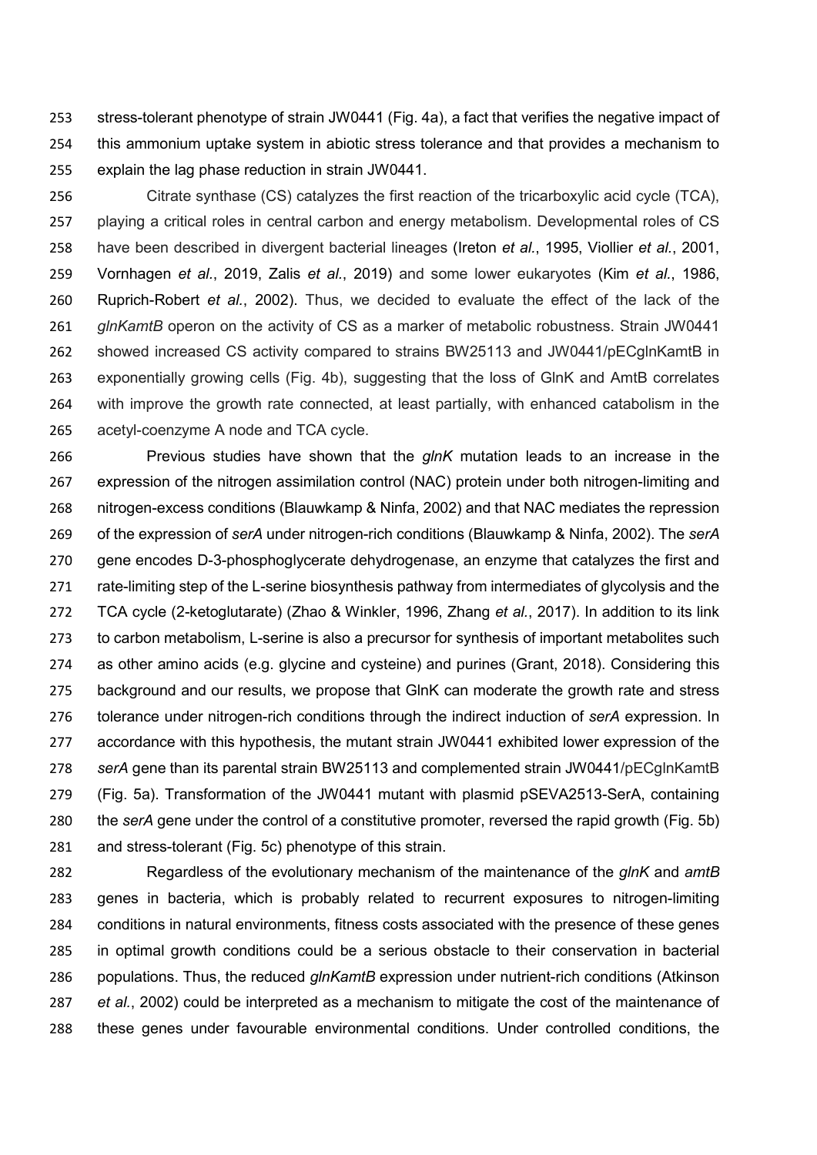stress-tolerant phenotype of strain JW0441 (Fig. 4a), a fact that verifies the negative impact of this ammonium uptake system in abiotic stress tolerance and that provides a mechanism to explain the lag phase reduction in strain JW0441.

 Citrate synthase (CS) catalyzes the first reaction of the tricarboxylic acid cycle (TCA), playing a critical roles in central carbon and energy metabolism. Developmental roles of CS have been described in divergent bacterial lineages (Ireton *et al.*, 1995, Viollier *et al.*, 2001, Vornhagen *et al.*, 2019, Zalis *et al.*, 2019) and some lower eukaryotes (Kim *et al.*, 1986, Ruprich-Robert *et al.*, 2002). Thus, we decided to evaluate the effect of the lack of the *glnKamtB* operon on the activity of CS as a marker of metabolic robustness. Strain JW0441 showed increased CS activity compared to strains BW25113 and JW0441/pECglnKamtB in exponentially growing cells (Fig. 4b), suggesting that the loss of GlnK and AmtB correlates with improve the growth rate connected, at least partially, with enhanced catabolism in the acetyl-coenzyme A node and TCA cycle.

 Previous studies have shown that the *glnK* mutation leads to an increase in the expression of the nitrogen assimilation control (NAC) protein under both nitrogen-limiting and nitrogen-excess conditions (Blauwkamp & Ninfa, 2002) and that NAC mediates the repression of the expression of *serA* under nitrogen-rich conditions (Blauwkamp & Ninfa, 2002). The *serA* gene encodes D-3-phosphoglycerate dehydrogenase, an enzyme that catalyzes the first and 271 rate-limiting step of the L-serine biosynthesis pathway from intermediates of glycolysis and the TCA cycle (2-ketoglutarate) (Zhao & Winkler, 1996, Zhang *et al.*, 2017). In addition to its link to carbon metabolism, L-serine is also a precursor for synthesis of important metabolites such as other amino acids (e.g. glycine and cysteine) and purines (Grant, 2018). Considering this 275 background and our results, we propose that GlnK can moderate the growth rate and stress tolerance under nitrogen-rich conditions through the indirect induction of *serA* expression. In accordance with this hypothesis, the mutant strain JW0441 exhibited lower expression of the *serA* gene than its parental strain BW25113 and complemented strain JW0441/pECglnKamtB (Fig. 5a). Transformation of the JW0441 mutant with plasmid pSEVA2513-SerA, containing the *serA* gene under the control of a constitutive promoter, reversed the rapid growth (Fig. 5b) and stress-tolerant (Fig. 5c) phenotype of this strain.

 Regardless of the evolutionary mechanism of the maintenance of the *glnK* and *amtB*  genes in bacteria, which is probably related to recurrent exposures to nitrogen-limiting conditions in natural environments, fitness costs associated with the presence of these genes in optimal growth conditions could be a serious obstacle to their conservation in bacterial populations. Thus, the reduced *glnKamtB* expression under nutrient-rich conditions (Atkinson *et al.*, 2002) could be interpreted as a mechanism to mitigate the cost of the maintenance of these genes under favourable environmental conditions. Under controlled conditions, the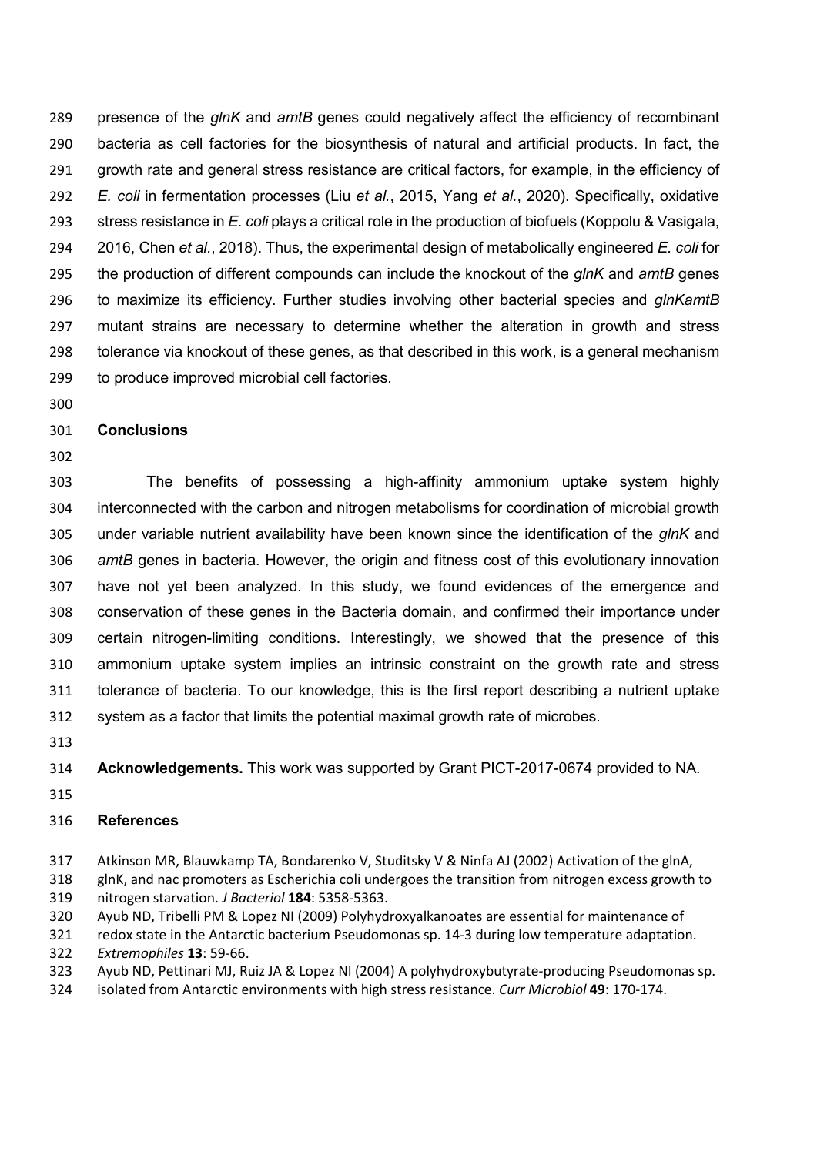presence of the *glnK* and *amtB* genes could negatively affect the efficiency of recombinant bacteria as cell factories for the biosynthesis of natural and artificial products. In fact, the growth rate and general stress resistance are critical factors, for example, in the efficiency of *E. coli* in fermentation processes (Liu *et al.*, 2015, Yang *et al.*, 2020). Specifically, oxidative stress resistance in *E. coli* plays a critical role in the production of biofuels (Koppolu & Vasigala, 2016, Chen *et al.*, 2018). Thus, the experimental design of metabolically engineered *E. coli* for the production of different compounds can include the knockout of the *glnK* and *amtB* genes to maximize its efficiency. Further studies involving other bacterial species and *glnKamtB* mutant strains are necessary to determine whether the alteration in growth and stress tolerance via knockout of these genes, as that described in this work, is a general mechanism to produce improved microbial cell factories.

## **Conclusions**

 The benefits of possessing a high-affinity ammonium uptake system highly interconnected with the carbon and nitrogen metabolisms for coordination of microbial growth under variable nutrient availability have been known since the identification of the *glnK* and *amtB* genes in bacteria. However, the origin and fitness cost of this evolutionary innovation have not yet been analyzed. In this study, we found evidences of the emergence and conservation of these genes in the Bacteria domain, and confirmed their importance under certain nitrogen-limiting conditions. Interestingly, we showed that the presence of this ammonium uptake system implies an intrinsic constraint on the growth rate and stress tolerance of bacteria. To our knowledge, this is the first report describing a nutrient uptake system as a factor that limits the potential maximal growth rate of microbes.

**Acknowledgements.** This work was supported by Grant PICT-2017-0674 provided to NA.

# **References**

Atkinson MR, Blauwkamp TA, Bondarenko V, Studitsky V & Ninfa AJ (2002) Activation of the glnA,

 glnK, and nac promoters as Escherichia coli undergoes the transition from nitrogen excess growth to nitrogen starvation. *J Bacteriol* **184**: 5358-5363.

Ayub ND, Tribelli PM & Lopez NI (2009) Polyhydroxyalkanoates are essential for maintenance of

redox state in the Antarctic bacterium Pseudomonas sp. 14-3 during low temperature adaptation.

*Extremophiles* **13**: 59-66.

Ayub ND, Pettinari MJ, Ruiz JA & Lopez NI (2004) A polyhydroxybutyrate-producing Pseudomonas sp.

isolated from Antarctic environments with high stress resistance. *Curr Microbiol* **49**: 170-174.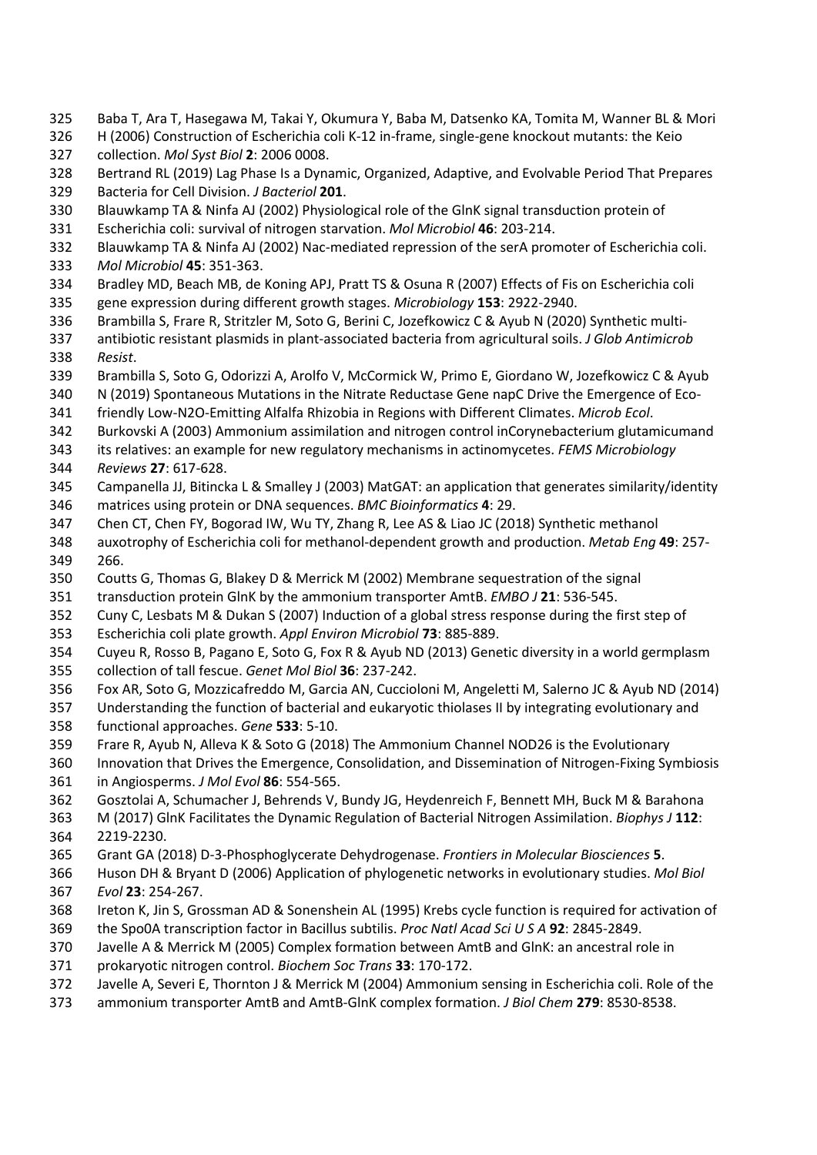- Baba T, Ara T, Hasegawa M, Takai Y, Okumura Y, Baba M, Datsenko KA, Tomita M, Wanner BL & Mori
- H (2006) Construction of Escherichia coli K-12 in-frame, single-gene knockout mutants: the Keio collection. *Mol Syst Biol* **2**: 2006 0008.
- Bertrand RL (2019) Lag Phase Is a Dynamic, Organized, Adaptive, and Evolvable Period That Prepares Bacteria for Cell Division. *J Bacteriol* **201**.
- Blauwkamp TA & Ninfa AJ (2002) Physiological role of the GlnK signal transduction protein of
- Escherichia coli: survival of nitrogen starvation. *Mol Microbiol* **46**: 203-214.
- Blauwkamp TA & Ninfa AJ (2002) Nac-mediated repression of the serA promoter of Escherichia coli. *Mol Microbiol* **45**: 351-363.
- Bradley MD, Beach MB, de Koning APJ, Pratt TS & Osuna R (2007) Effects of Fis on Escherichia coli
- gene expression during different growth stages. *Microbiology* **153**: 2922-2940.
- Brambilla S, Frare R, Stritzler M, Soto G, Berini C, Jozefkowicz C & Ayub N (2020) Synthetic multi-
- antibiotic resistant plasmids in plant-associated bacteria from agricultural soils. *J Glob Antimicrob Resist*.
- Brambilla S, Soto G, Odorizzi A, Arolfo V, McCormick W, Primo E, Giordano W, Jozefkowicz C & Ayub
- 340 N (2019) Spontaneous Mutations in the Nitrate Reductase Gene napC Drive the Emergence of Eco-
- friendly Low-N2O-Emitting Alfalfa Rhizobia in Regions with Different Climates. *Microb Ecol*.
- Burkovski A (2003) Ammonium assimilation and nitrogen control inCorynebacterium glutamicumand
- its relatives: an example for new regulatory mechanisms in actinomycetes. *FEMS Microbiology*
- *Reviews* **27**: 617-628.
- Campanella JJ, Bitincka L & Smalley J (2003) MatGAT: an application that generates similarity/identity matrices using protein or DNA sequences. *BMC Bioinformatics* **4**: 29.
- Chen CT, Chen FY, Bogorad IW, Wu TY, Zhang R, Lee AS & Liao JC (2018) Synthetic methanol
- auxotrophy of Escherichia coli for methanol-dependent growth and production. *Metab Eng* **49**: 257- 266.
- Coutts G, Thomas G, Blakey D & Merrick M (2002) Membrane sequestration of the signal
- transduction protein GlnK by the ammonium transporter AmtB. *EMBO J* **21**: 536-545.
- Cuny C, Lesbats M & Dukan S (2007) Induction of a global stress response during the first step of
- Escherichia coli plate growth. *Appl Environ Microbiol* **73**: 885-889.
- Cuyeu R, Rosso B, Pagano E, Soto G, Fox R & Ayub ND (2013) Genetic diversity in a world germplasm collection of tall fescue. *Genet Mol Biol* **36**: 237-242.
- Fox AR, Soto G, Mozzicafreddo M, Garcia AN, Cuccioloni M, Angeletti M, Salerno JC & Ayub ND (2014)
- Understanding the function of bacterial and eukaryotic thiolases II by integrating evolutionary and functional approaches. *Gene* **533**: 5-10.
- Frare R, Ayub N, Alleva K & Soto G (2018) The Ammonium Channel NOD26 is the Evolutionary
- Innovation that Drives the Emergence, Consolidation, and Dissemination of Nitrogen-Fixing Symbiosis
- in Angiosperms. *J Mol Evol* **86**: 554-565.
- Gosztolai A, Schumacher J, Behrends V, Bundy JG, Heydenreich F, Bennett MH, Buck M & Barahona
- M (2017) GlnK Facilitates the Dynamic Regulation of Bacterial Nitrogen Assimilation. *Biophys J* **112**: 2219-2230.
- Grant GA (2018) D-3-Phosphoglycerate Dehydrogenase. *Frontiers in Molecular Biosciences* **5**.
- Huson DH & Bryant D (2006) Application of phylogenetic networks in evolutionary studies. *Mol Biol*
- *Evol* **23**: 254-267.
- Ireton K, Jin S, Grossman AD & Sonenshein AL (1995) Krebs cycle function is required for activation of
- the Spo0A transcription factor in Bacillus subtilis. *Proc Natl Acad Sci U S A* **92**: 2845-2849.
- Javelle A & Merrick M (2005) Complex formation between AmtB and GlnK: an ancestral role in
- prokaryotic nitrogen control. *Biochem Soc Trans* **33**: 170-172.
- Javelle A, Severi E, Thornton J & Merrick M (2004) Ammonium sensing in Escherichia coli. Role of the
- ammonium transporter AmtB and AmtB-GlnK complex formation. *J Biol Chem* **279**: 8530-8538.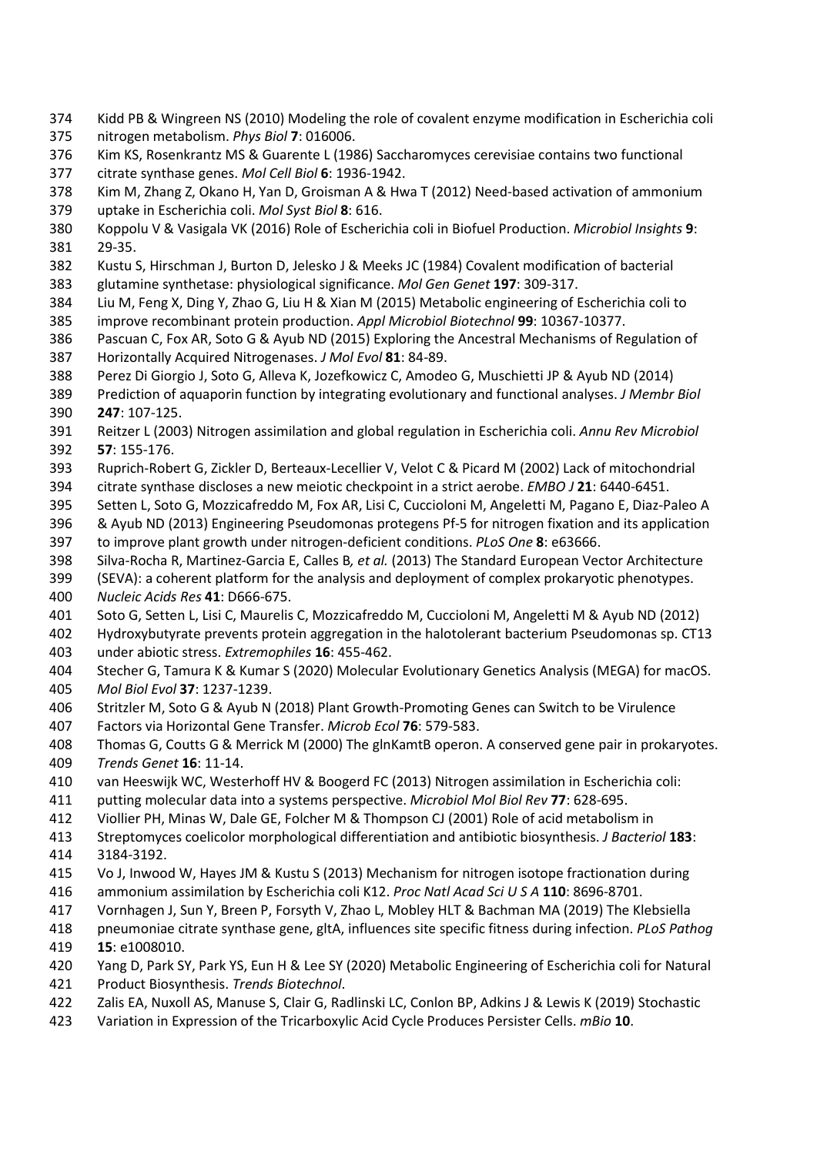- Kidd PB & Wingreen NS (2010) Modeling the role of covalent enzyme modification in Escherichia coli
- nitrogen metabolism. *Phys Biol* **7**: 016006.
- Kim KS, Rosenkrantz MS & Guarente L (1986) Saccharomyces cerevisiae contains two functional
- citrate synthase genes. *Mol Cell Biol* **6**: 1936-1942.
- Kim M, Zhang Z, Okano H, Yan D, Groisman A & Hwa T (2012) Need-based activation of ammonium
- uptake in Escherichia coli. *Mol Syst Biol* **8**: 616.
- Koppolu V & Vasigala VK (2016) Role of Escherichia coli in Biofuel Production. *Microbiol Insights* **9**: 29-35.
- Kustu S, Hirschman J, Burton D, Jelesko J & Meeks JC (1984) Covalent modification of bacterial
- glutamine synthetase: physiological significance. *Mol Gen Genet* **197**: 309-317.
- Liu M, Feng X, Ding Y, Zhao G, Liu H & Xian M (2015) Metabolic engineering of Escherichia coli to
- improve recombinant protein production. *Appl Microbiol Biotechnol* **99**: 10367-10377.
- Pascuan C, Fox AR, Soto G & Ayub ND (2015) Exploring the Ancestral Mechanisms of Regulation of Horizontally Acquired Nitrogenases. *J Mol Evol* **81**: 84-89.
- Perez Di Giorgio J, Soto G, Alleva K, Jozefkowicz C, Amodeo G, Muschietti JP & Ayub ND (2014)
- Prediction of aquaporin function by integrating evolutionary and functional analyses. *J Membr Biol* **247**: 107-125.
- Reitzer L (2003) Nitrogen assimilation and global regulation in Escherichia coli. *Annu Rev Microbiol* **57**: 155-176.
- Ruprich-Robert G, Zickler D, Berteaux-Lecellier V, Velot C & Picard M (2002) Lack of mitochondrial
- citrate synthase discloses a new meiotic checkpoint in a strict aerobe. *EMBO J* **21**: 6440-6451.
- Setten L, Soto G, Mozzicafreddo M, Fox AR, Lisi C, Cuccioloni M, Angeletti M, Pagano E, Diaz-Paleo A
- & Ayub ND (2013) Engineering Pseudomonas protegens Pf-5 for nitrogen fixation and its application
- to improve plant growth under nitrogen-deficient conditions. *PLoS One* **8**: e63666.
- Silva-Rocha R, Martinez-Garcia E, Calles B*, et al.* (2013) The Standard European Vector Architecture
- (SEVA): a coherent platform for the analysis and deployment of complex prokaryotic phenotypes.
- *Nucleic Acids Res* **41**: D666-675.
- Soto G, Setten L, Lisi C, Maurelis C, Mozzicafreddo M, Cuccioloni M, Angeletti M & Ayub ND (2012)
- Hydroxybutyrate prevents protein aggregation in the halotolerant bacterium Pseudomonas sp. CT13 under abiotic stress. *Extremophiles* **16**: 455-462.
- Stecher G, Tamura K & Kumar S (2020) Molecular Evolutionary Genetics Analysis (MEGA) for macOS.
- *Mol Biol Evol* **37**: 1237-1239.
- Stritzler M, Soto G & Ayub N (2018) Plant Growth-Promoting Genes can Switch to be Virulence
- Factors via Horizontal Gene Transfer. *Microb Ecol* **76**: 579-583.
- Thomas G, Coutts G & Merrick M (2000) The glnKamtB operon. A conserved gene pair in prokaryotes. *Trends Genet* **16**: 11-14.
- van Heeswijk WC, Westerhoff HV & Boogerd FC (2013) Nitrogen assimilation in Escherichia coli:
- putting molecular data into a systems perspective. *Microbiol Mol Biol Rev* **77**: 628-695.
- Viollier PH, Minas W, Dale GE, Folcher M & Thompson CJ (2001) Role of acid metabolism in
- Streptomyces coelicolor morphological differentiation and antibiotic biosynthesis. *J Bacteriol* **183**:
- 3184-3192.
- Vo J, Inwood W, Hayes JM & Kustu S (2013) Mechanism for nitrogen isotope fractionation during
- ammonium assimilation by Escherichia coli K12. *Proc Natl Acad Sci U S A* **110**: 8696-8701.
- Vornhagen J, Sun Y, Breen P, Forsyth V, Zhao L, Mobley HLT & Bachman MA (2019) The Klebsiella
- pneumoniae citrate synthase gene, gltA, influences site specific fitness during infection. *PLoS Pathog* **15**: e1008010.
- Yang D, Park SY, Park YS, Eun H & Lee SY (2020) Metabolic Engineering of Escherichia coli for Natural
- Product Biosynthesis. *Trends Biotechnol*.
- Zalis EA, Nuxoll AS, Manuse S, Clair G, Radlinski LC, Conlon BP, Adkins J & Lewis K (2019) Stochastic
- Variation in Expression of the Tricarboxylic Acid Cycle Produces Persister Cells. *mBio* **10**.